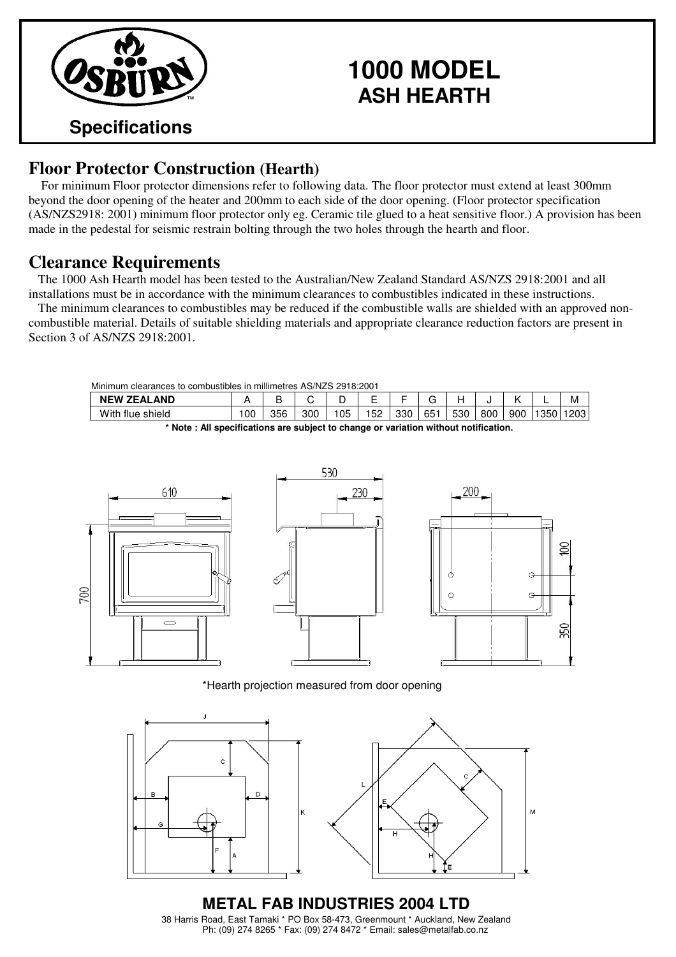

## **1000 MODEL ASH HEARTH**

## **Floor Protector Construction (Hearth)**

For minimum Floor protector dimensions refer to following data. The floor protector must extend at least 300mm beyond the door opening of the heater and 200mm to each side of the door opening. (Floor protector specification (AS/NZS2918: 2001) minimum floor protector only eg. Ceramic tile glued to a heat sensitive floor.) A provision has been made in the pedestal for seismic restrain bolting through the two holes through the hearth and floor.

## **Clearance Requirements**

The 1000 Ash Hearth model has been tested to the Australian/New Zealand Standard AS/NZS 2918:2001 and all installations must be in accordance with the minimum clearances to combustibles indicated in these instructions.

The minimum clearances to combustibles may be reduced if the combustible walls are shielded with an approved noncombustible material. Details of suitable shielding materials and appropriate clearance reduction factors are present in Section 3 of AS/NZS 2918:2001.

| Minimum<br>clearances to combustibles in millimetres AS/NZS 2918:2001 |     |     |     |     |     |     |     |     |     |     |      |      |
|-----------------------------------------------------------------------|-----|-----|-----|-----|-----|-----|-----|-----|-----|-----|------|------|
| <b>NEW ZEALAND</b>                                                    |     |     |     |     | -   |     |     |     |     |     | -    | M    |
| With flue shield                                                      | 100 | 356 | 300 | 105 | 152 | 330 | 651 | 530 | 800 | 900 | 1350 | 1203 |

**\* Note : All specifications are subject to change or variation without notification.**



\*Hearth projection measured from door opening



**METAL FAB INDUSTRIES 2004 LTD** 38 Harris Road, East Tamaki \* PO Box 58-473, Greenmount \* Auckland, New Zealand Ph: (09) 274 8265 \* Fax: (09) 274 8472 \* Email: sales@metalfab.co.nz